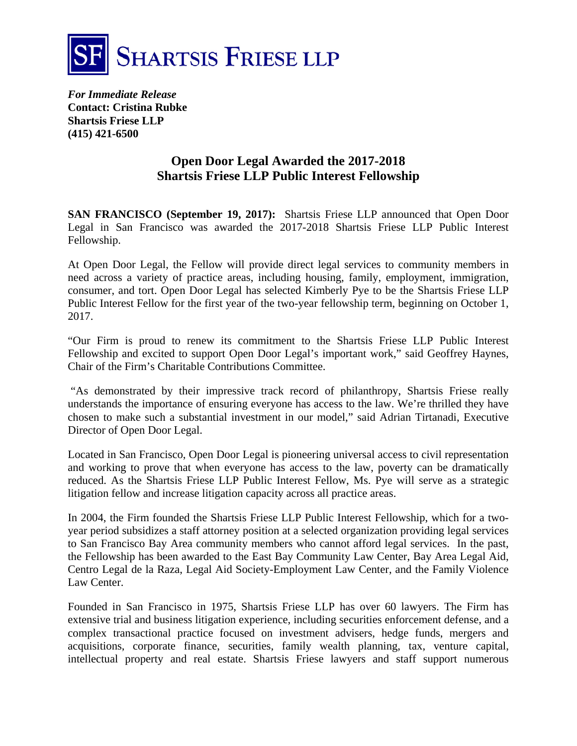

*For Immediate Release*  **Contact: Cristina Rubke Shartsis Friese LLP (415) 421-6500** 

## **Open Door Legal Awarded the 2017-2018 Shartsis Friese LLP Public Interest Fellowship**

**SAN FRANCISCO (September 19, 2017):** Shartsis Friese LLP announced that Open Door Legal in San Francisco was awarded the 2017-2018 Shartsis Friese LLP Public Interest Fellowship.

At Open Door Legal, the Fellow will provide direct legal services to community members in need across a variety of practice areas, including housing, family, employment, immigration, consumer, and tort. Open Door Legal has selected Kimberly Pye to be the Shartsis Friese LLP Public Interest Fellow for the first year of the two-year fellowship term, beginning on October 1, 2017.

"Our Firm is proud to renew its commitment to the Shartsis Friese LLP Public Interest Fellowship and excited to support Open Door Legal's important work," said Geoffrey Haynes, Chair of the Firm's Charitable Contributions Committee.

 "As demonstrated by their impressive track record of philanthropy, Shartsis Friese really understands the importance of ensuring everyone has access to the law. We're thrilled they have chosen to make such a substantial investment in our model," said Adrian Tirtanadi, Executive Director of Open Door Legal.

Located in San Francisco, Open Door Legal is pioneering universal access to civil representation and working to prove that when everyone has access to the law, poverty can be dramatically reduced. As the Shartsis Friese LLP Public Interest Fellow, Ms. Pye will serve as a strategic litigation fellow and increase litigation capacity across all practice areas.

In 2004, the Firm founded the Shartsis Friese LLP Public Interest Fellowship, which for a twoyear period subsidizes a staff attorney position at a selected organization providing legal services to San Francisco Bay Area community members who cannot afford legal services. In the past, the Fellowship has been awarded to the East Bay Community Law Center, Bay Area Legal Aid, Centro Legal de la Raza, Legal Aid Society-Employment Law Center, and the Family Violence Law Center.

Founded in San Francisco in 1975, Shartsis Friese LLP has over 60 lawyers. The Firm has extensive trial and business litigation experience, including securities enforcement defense, and a complex transactional practice focused on investment advisers, hedge funds, mergers and acquisitions, corporate finance, securities, family wealth planning, tax, venture capital, intellectual property and real estate. Shartsis Friese lawyers and staff support numerous